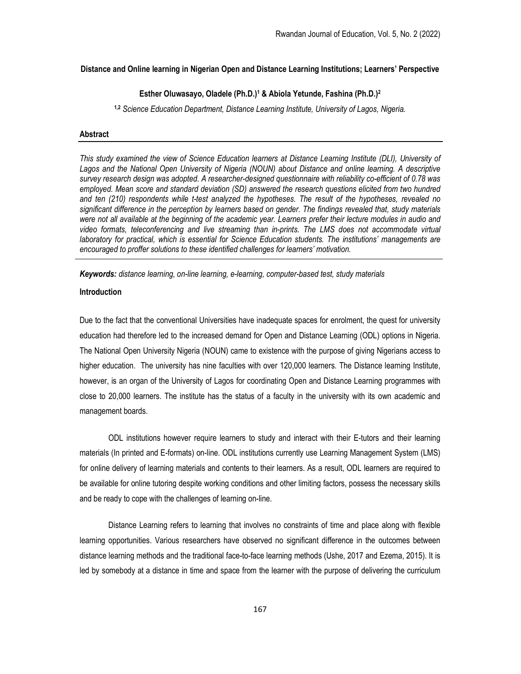# Distance and Online learning in Nigerian Open and Distance Learning Institutions; Learners' Perspective

### Esther Oluwasayo, Oladele (Ph.D.)<sup>1</sup> & Abiola Yetunde, Fashina (Ph.D.)<sup>2</sup>

<sup>1,2</sup> Science Education Department, Distance Learning Institute, University of Lagos, Nigeria.

#### Abstract

This study examined the view of Science Education learners at Distance Learning Institute (DLI), University of Lagos and the National Open University of Nigeria (NOUN) about Distance and online learning. A descriptive survey research design was adopted. A researcher-designed questionnaire with reliability co-efficient of 0.78 was employed. Mean score and standard deviation (SD) answered the research questions elicited from two hundred and ten (210) respondents while t-test analyzed the hypotheses. The result of the hypotheses, revealed no significant difference in the perception by learners based on gender. The findings revealed that, study materials were not all available at the beginning of the academic year. Learners prefer their lecture modules in audio and video formats, teleconferencing and live streaming than in-prints. The LMS does not accommodate virtual laboratory for practical, which is essential for Science Education students. The institutions' managements are encouraged to proffer solutions to these identified challenges for learners' motivation.

Keywords: distance learning, on-line learning, e-learning, computer-based test, study materials

#### Introduction

Due to the fact that the conventional Universities have inadequate spaces for enrolment, the quest for university education had therefore led to the increased demand for Open and Distance Learning (ODL) options in Nigeria. The National Open University Nigeria (NOUN) came to existence with the purpose of giving Nigerians access to higher education. The university has nine faculties with over 120,000 learners. The Distance learning Institute, however, is an organ of the University of Lagos for coordinating Open and Distance Learning programmes with close to 20,000 learners. The institute has the status of a faculty in the university with its own academic and management boards.

ODL institutions however require learners to study and interact with their E-tutors and their learning materials (In printed and E-formats) on-line. ODL institutions currently use Learning Management System (LMS) for online delivery of learning materials and contents to their learners. As a result, ODL learners are required to be available for online tutoring despite working conditions and other limiting factors, possess the necessary skills and be ready to cope with the challenges of learning on-line.

Distance Learning refers to learning that involves no constraints of time and place along with flexible learning opportunities. Various researchers have observed no significant difference in the outcomes between distance learning methods and the traditional face-to-face learning methods (Ushe, 2017 and Ezema, 2015). It is led by somebody at a distance in time and space from the learner with the purpose of delivering the curriculum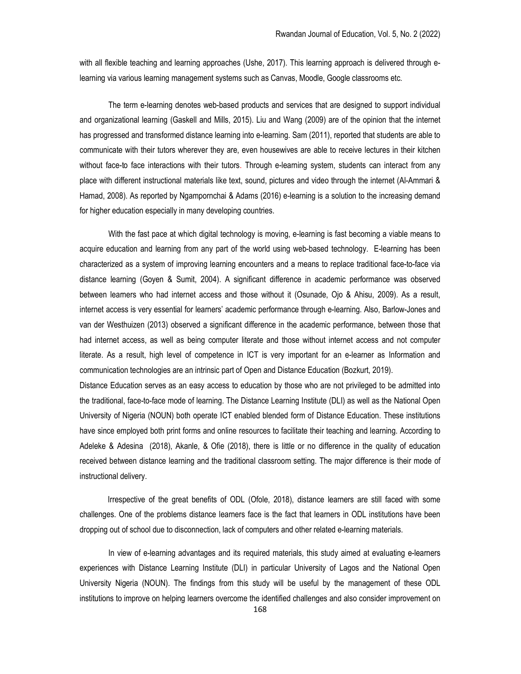with all flexible teaching and learning approaches (Ushe, 2017). This learning approach is delivered through elearning via various learning management systems such as Canvas, Moodle, Google classrooms etc.

The term e-learning denotes web-based products and services that are designed to support individual and organizational learning (Gaskell and Mills, 2015). Liu and Wang (2009) are of the opinion that the internet has progressed and transformed distance learning into e-learning. Sam (2011), reported that students are able to communicate with their tutors wherever they are, even housewives are able to receive lectures in their kitchen without face-to face interactions with their tutors. Through e-learning system, students can interact from any place with different instructional materials like text, sound, pictures and video through the internet (Al-Ammari & Hamad, 2008). As reported by Ngampornchai & Adams (2016) e-learning is a solution to the increasing demand for higher education especially in many developing countries.

With the fast pace at which digital technology is moving, e-learning is fast becoming a viable means to acquire education and learning from any part of the world using web-based technology. E-learning has been characterized as a system of improving learning encounters and a means to replace traditional face-to-face via distance learning (Goyen & Sumit, 2004). A significant difference in academic performance was observed between learners who had internet access and those without it (Osunade, Ojo & Ahisu, 2009). As a result, internet access is very essential for learners' academic performance through e-learning. Also, Barlow-Jones and van der Westhuizen (2013) observed a significant difference in the academic performance, between those that had internet access, as well as being computer literate and those without internet access and not computer literate. As a result, high level of competence in ICT is very important for an e-learner as Information and communication technologies are an intrinsic part of Open and Distance Education (Bozkurt, 2019).

Distance Education serves as an easy access to education by those who are not privileged to be admitted into the traditional, face-to-face mode of learning. The Distance Learning Institute (DLI) as well as the National Open University of Nigeria (NOUN) both operate ICT enabled blended form of Distance Education. These institutions have since employed both print forms and online resources to facilitate their teaching and learning. According to Adeleke & Adesina (2018), Akanle, & Ofie (2018), there is little or no difference in the quality of education received between distance learning and the traditional classroom setting. The major difference is their mode of instructional delivery.

 Irrespective of the great benefits of ODL (Ofole, 2018), distance learners are still faced with some challenges. One of the problems distance learners face is the fact that learners in ODL institutions have been dropping out of school due to disconnection, lack of computers and other related e-learning materials.

In view of e-learning advantages and its required materials, this study aimed at evaluating e-learners experiences with Distance Learning Institute (DLI) in particular University of Lagos and the National Open University Nigeria (NOUN). The findings from this study will be useful by the management of these ODL institutions to improve on helping learners overcome the identified challenges and also consider improvement on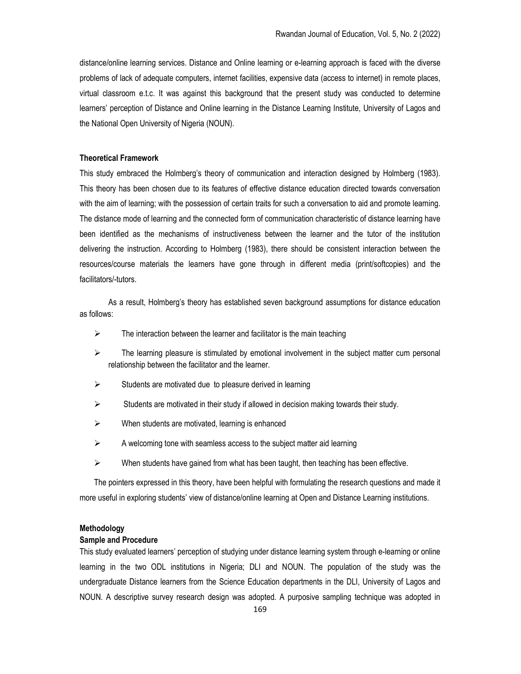distance/online learning services. Distance and Online learning or e-learning approach is faced with the diverse problems of lack of adequate computers, internet facilities, expensive data (access to internet) in remote places, virtual classroom e.t.c. It was against this background that the present study was conducted to determine learners' perception of Distance and Online learning in the Distance Learning Institute, University of Lagos and the National Open University of Nigeria (NOUN).

#### Theoretical Framework

This study embraced the Holmberg's theory of communication and interaction designed by Holmberg (1983). This theory has been chosen due to its features of effective distance education directed towards conversation with the aim of learning; with the possession of certain traits for such a conversation to aid and promote learning. The distance mode of learning and the connected form of communication characteristic of distance learning have been identified as the mechanisms of instructiveness between the learner and the tutor of the institution delivering the instruction. According to Holmberg (1983), there should be consistent interaction between the resources/course materials the learners have gone through in different media (print/softcopies) and the facilitators/-tutors.

 As a result, Holmberg's theory has established seven background assumptions for distance education as follows:

- $\triangleright$  The interaction between the learner and facilitator is the main teaching
- $\triangleright$  The learning pleasure is stimulated by emotional involvement in the subject matter cum personal relationship between the facilitator and the learner.
- $\triangleright$  Students are motivated due to pleasure derived in learning
- $\triangleright$  Students are motivated in their study if allowed in decision making towards their study.
- $\triangleright$  When students are motivated, learning is enhanced
- $\triangleright$  A welcoming tone with seamless access to the subject matter aid learning
- $\triangleright$  When students have gained from what has been taught, then teaching has been effective.

The pointers expressed in this theory, have been helpful with formulating the research questions and made it more useful in exploring students' view of distance/online learning at Open and Distance Learning institutions.

### Methodology

### Sample and Procedure

This study evaluated learners' perception of studying under distance learning system through e-learning or online learning in the two ODL institutions in Nigeria; DLI and NOUN. The population of the study was the undergraduate Distance learners from the Science Education departments in the DLI, University of Lagos and NOUN. A descriptive survey research design was adopted. A purposive sampling technique was adopted in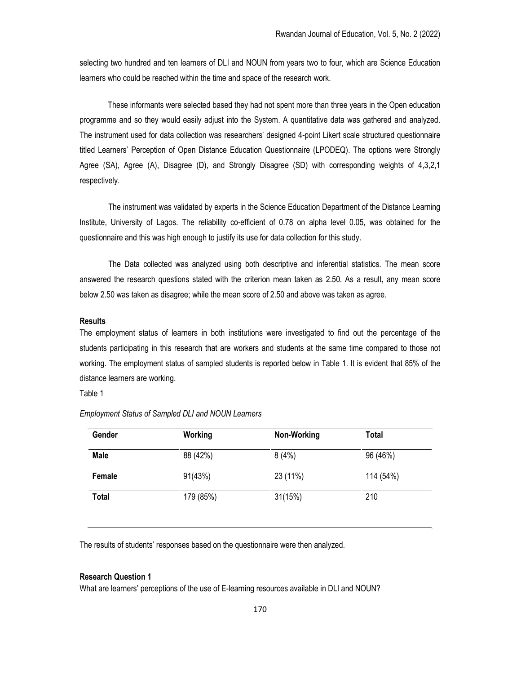selecting two hundred and ten learners of DLI and NOUN from years two to four, which are Science Education learners who could be reached within the time and space of the research work.

 These informants were selected based they had not spent more than three years in the Open education programme and so they would easily adjust into the System. A quantitative data was gathered and analyzed. The instrument used for data collection was researchers' designed 4-point Likert scale structured questionnaire titled Learners' Perception of Open Distance Education Questionnaire (LPODEQ). The options were Strongly Agree (SA), Agree (A), Disagree (D), and Strongly Disagree (SD) with corresponding weights of 4,3,2,1 respectively.

The instrument was validated by experts in the Science Education Department of the Distance Learning Institute, University of Lagos. The reliability co-efficient of 0.78 on alpha level 0.05, was obtained for the questionnaire and this was high enough to justify its use for data collection for this study.

The Data collected was analyzed using both descriptive and inferential statistics. The mean score answered the research questions stated with the criterion mean taken as 2.50. As a result, any mean score below 2.50 was taken as disagree; while the mean score of 2.50 and above was taken as agree.

#### Results

The employment status of learners in both institutions were investigated to find out the percentage of the students participating in this research that are workers and students at the same time compared to those not working. The employment status of sampled students is reported below in Table 1. It is evident that 85% of the distance learners are working.

Table 1

| Gender       | Working   | Non-Working | Total     |  |
|--------------|-----------|-------------|-----------|--|
| <b>Male</b>  | 88 (42%)  | 8(4%)       | 96 (46%)  |  |
| Female       | 91(43%)   | 23 (11%)    | 114 (54%) |  |
| <b>Total</b> | 179 (85%) | 31(15%)     | 210       |  |

Employment Status of Sampled DLI and NOUN Learners

The results of students' responses based on the questionnaire were then analyzed.

# Research Question 1

What are learners' perceptions of the use of E-learning resources available in DLI and NOUN?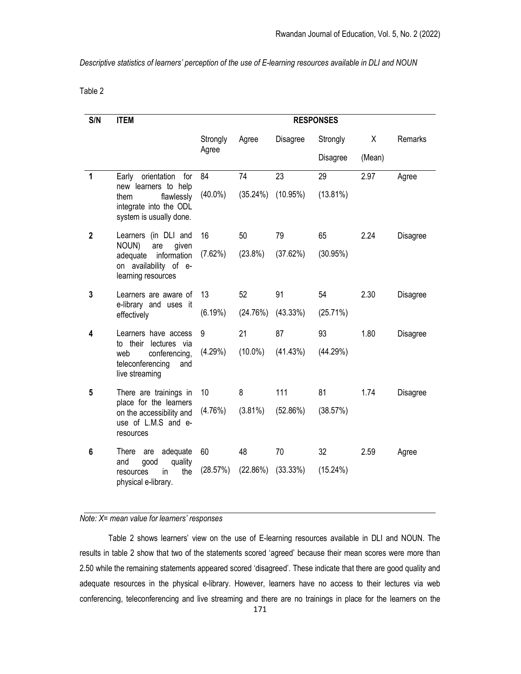Descriptive statistics of learners' perception of the use of E-learning resources available in DLI and NOUN

Table 2

| S/N          | <b>ITEM</b>                                                                                                                 | <b>RESPONSES</b> |            |             |                 |        |          |
|--------------|-----------------------------------------------------------------------------------------------------------------------------|------------------|------------|-------------|-----------------|--------|----------|
|              |                                                                                                                             | Strongly         | Agree      | Disagree    | Strongly        | X      | Remarks  |
|              |                                                                                                                             | Agree            |            |             | <b>Disagree</b> | (Mean) |          |
| 1            | orientation for<br>Early<br>new learners to help<br>flawlessly<br>them<br>integrate into the ODL<br>system is usually done. | 84               | 74         | 23          | 29              | 2.97   | Agree    |
|              |                                                                                                                             | $(40.0\%)$       | (35.24%)   | $(10.95\%)$ | $(13.81\%)$     |        |          |
| $\mathbf{2}$ | Learners (in DLI and<br>NOUN)<br>are<br>given<br>adequate information<br>on availability of e-<br>learning resources        | 16               | 50         | 79          | 65              | 2.24   | Disagree |
|              |                                                                                                                             | (7.62%)          | $(23.8\%)$ | (37.62%)    | (30.95%)        |        |          |
| 3            | Learners are aware of<br>e-library and uses it<br>effectively                                                               | 13               | 52         | 91          | 54              | 2.30   | Disagree |
|              |                                                                                                                             | $(6.19\%)$       | (24.76%)   | (43.33%)    | (25.71%)        |        |          |
| 4            | Learners have access<br>to their<br>lectures via<br>web<br>conferencing,<br>teleconferencing<br>and<br>live streaming       | 9                | 21         | 87          | 93              | 1.80   | Disagree |
|              |                                                                                                                             | (4.29%)          | $(10.0\%)$ | (41.43%)    | (44.29%)        |        |          |
| 5            | There are trainings in<br>place for the learners<br>on the accessibility and<br>use of L.M.S and e-<br>resources            | 10               | 8          | 111         | 81              | 1.74   | Disagree |
|              |                                                                                                                             | (4.76%)          | $(3.81\%)$ | (52.86%)    | (38.57%)        |        |          |
| 6            | adequate<br>There<br>are<br>and<br>quality<br>qood<br>the<br>resources<br>in.<br>physical e-library.                        | 60               | 48         | 70          | 32              | 2.59   | Agree    |
|              |                                                                                                                             | (28.57%)         | (22.86%)   | (33.33%)    | $(15.24\%)$     |        |          |

# Note: X= mean value for learners' responses

Table 2 shows learners' view on the use of E-learning resources available in DLI and NOUN. The results in table 2 show that two of the statements scored 'agreed' because their mean scores were more than 2.50 while the remaining statements appeared scored 'disagreed'. These indicate that there are good quality and adequate resources in the physical e-library. However, learners have no access to their lectures via web conferencing, teleconferencing and live streaming and there are no trainings in place for the learners on the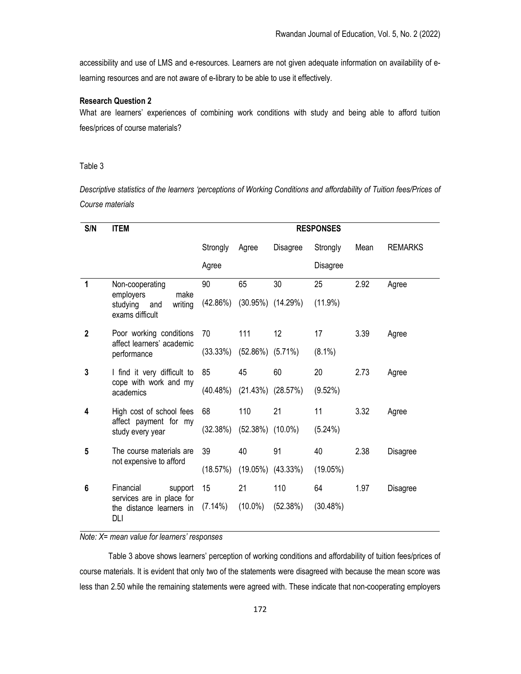accessibility and use of LMS and e-resources. Learners are not given adequate information on availability of elearning resources and are not aware of e-library to be able to use it effectively.

#### Research Question 2

What are learners' experiences of combining work conditions with study and being able to afford tuition fees/prices of course materials?

### Table 3

Descriptive statistics of the learners 'perceptions of Working Conditions and affordability of Tuition fees/Prices of Course materials

| S/N | <b>ITEM</b><br><b>RESPONSES</b>                                                       |          |                        |                         |            |      |                |
|-----|---------------------------------------------------------------------------------------|----------|------------------------|-------------------------|------------|------|----------------|
|     |                                                                                       | Strongly | Agree                  | Disagree                | Strongly   | Mean | <b>REMARKS</b> |
|     |                                                                                       |          |                        |                         | Disagree   |      |                |
| 1   | Non-cooperating<br>employers<br>make<br>writing<br>studying<br>and<br>exams difficult | 90       | 65                     | 30                      | 25         | 2.92 | Agree          |
|     |                                                                                       | (42.86%) |                        | $(30.95\%)$ $(14.29\%)$ | $(11.9\%)$ |      |                |
| 2   | Poor working conditions<br>affect learners' academic<br>performance                   | 70       | 111                    | $12 \overline{ }$       | 17         | 3.39 | Agree          |
|     |                                                                                       | (33.33%) | $(52.86\%)$ $(5.71\%)$ |                         | $(8.1\%)$  |      |                |
| 3   | I find it very difficult to<br>cope with work and my<br>academics                     | 85       | 45                     | 60                      | 20         | 2.73 | Agree          |
|     |                                                                                       | (40.48%) |                        | $(21.43\%)$ $(28.57\%)$ | $(9.52\%)$ |      |                |
| 4   | High cost of school fees<br>affect payment for my<br>study every year                 | 68       | 110                    | 21                      | 11         | 3.32 | Agree          |
|     |                                                                                       | (32.38%) | $(52.38\%)$ $(10.0\%)$ |                         | $(5.24\%)$ |      |                |
| 5   | The course materials are<br>not expensive to afford                                   | 39       | 40                     | 91                      | 40         | 2.38 | Disagree       |
|     |                                                                                       | (18.57%) |                        | $(19.05\%)$ $(43.33\%)$ | (19.05%)   |      |                |
| 6   | Financial<br>support<br>services are in place for<br>the distance learners in<br>DLI  | 15       | 21                     | 110                     | 64         | 1.97 | Disagree       |
|     |                                                                                       | (7.14%)  | $(10.0\%)$             | (52.38%)                | (30.48%)   |      |                |

# Note: X= mean value for learners' responses

Table 3 above shows learners' perception of working conditions and affordability of tuition fees/prices of course materials. It is evident that only two of the statements were disagreed with because the mean score was less than 2.50 while the remaining statements were agreed with. These indicate that non-cooperating employers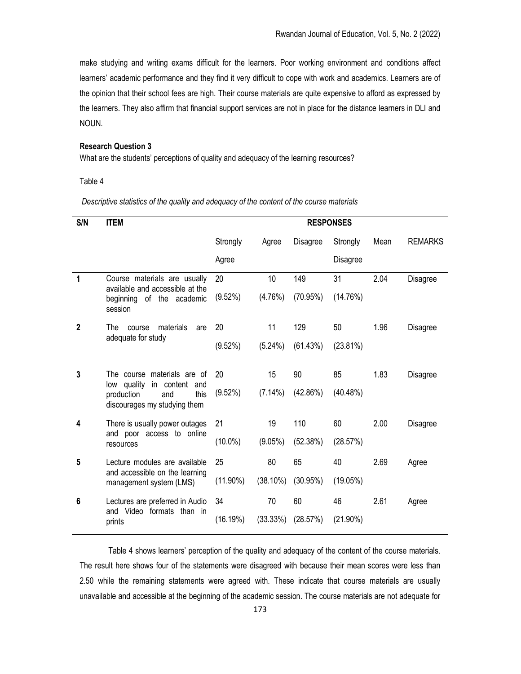make studying and writing exams difficult for the learners. Poor working environment and conditions affect learners' academic performance and they find it very difficult to cope with work and academics. Learners are of the opinion that their school fees are high. Their course materials are quite expensive to afford as expressed by the learners. They also affirm that financial support services are not in place for the distance learners in DLI and NOUN.

# Research Question 3

What are the students' perceptions of quality and adequacy of the learning resources?

#### Table 4

Descriptive statistics of the quality and adequacy of the content of the course materials

| S/N          | <b>ITEM</b>                                                                                                               | <b>RESPONSES</b> |             |                 |                 |      |                |
|--------------|---------------------------------------------------------------------------------------------------------------------------|------------------|-------------|-----------------|-----------------|------|----------------|
|              |                                                                                                                           | Strongly         | Agree       | <b>Disagree</b> | Strongly        | Mean | <b>REMARKS</b> |
|              |                                                                                                                           | Agree            |             |                 | <b>Disagree</b> |      |                |
| 1            | Course materials are usually<br>available and accessible at the<br>beginning of the academic<br>session                   | 20               | 10          | 149             | 31              | 2.04 | Disagree       |
|              |                                                                                                                           | (9.52%)          | (4.76%)     | (70.95%)        | (14.76%)        |      |                |
| $\mathbf{2}$ | The<br>materials<br>course<br>are<br>adequate for study                                                                   | 20               | 11          | 129             | 50              | 1.96 | Disagree       |
|              |                                                                                                                           | $(9.52\%)$       | (5.24%)     | (61.43%)        | $(23.81\%)$     |      |                |
| 3            | The course materials are of<br>low quality<br>in content and<br>this<br>production<br>and<br>discourages my studying them | 20               | 15          | 90              | 85              | 1.83 | Disagree       |
|              |                                                                                                                           | $(9.52\%)$       | $(7.14\%)$  | (42.86%)        | (40.48%)        |      |                |
| 4            | There is usually power outages<br>and poor access to online<br>resources                                                  | 21               | 19          | 110             | 60              | 2.00 | Disagree       |
|              |                                                                                                                           | $(10.0\%)$       | $(9.05\%)$  | (52.38%)        | (28.57%)        |      |                |
| 5            | Lecture modules are available<br>and accessible on the learning<br>management system (LMS)                                | 25               | 80          | 65              | 40              | 2.69 | Agree          |
|              |                                                                                                                           | $(11.90\%)$      | $(38.10\%)$ | (30.95%)        | (19.05%)        |      |                |
| 6            | Lectures are preferred in Audio<br>and Video formats than in<br>prints                                                    | 34               | 70          | 60              | 46              | 2.61 | Agree          |
|              |                                                                                                                           | (16.19%)         | (33.33%)    | (28.57%)        | $(21.90\%)$     |      |                |

Table 4 shows learners' perception of the quality and adequacy of the content of the course materials. The result here shows four of the statements were disagreed with because their mean scores were less than 2.50 while the remaining statements were agreed with. These indicate that course materials are usually unavailable and accessible at the beginning of the academic session. The course materials are not adequate for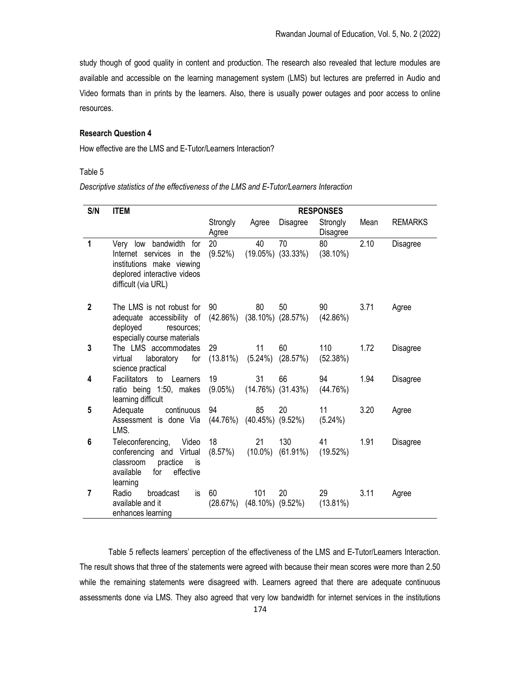study though of good quality in content and production. The research also revealed that lecture modules are available and accessible on the learning management system (LMS) but lectures are preferred in Audio and Video formats than in prints by the learners. Also, there is usually power outages and poor access to online resources.

### Research Question 4

How effective are the LMS and E-Tutor/Learners Interaction?

# Table 5

Descriptive statistics of the effectiveness of the LMS and E-Tutor/Learners Interaction

| S/N          | <b>ITEM</b>                                                                                                                           | <b>RESPONSES</b>  |                  |                                           |                       |      |                |
|--------------|---------------------------------------------------------------------------------------------------------------------------------------|-------------------|------------------|-------------------------------------------|-----------------------|------|----------------|
|              |                                                                                                                                       | Strongly<br>Agree | Agree            | Disagree                                  | Strongly<br>Disagree  | Mean | <b>REMARKS</b> |
| 1            | Very low bandwidth for<br>Internet services in the<br>institutions make viewing<br>deplored interactive videos<br>difficult (via URL) | 20<br>$(9.52\%)$  | 40               | 70<br>$(19.05\%)$ $(33.33\%)$             | 80<br>$(38.10\%)$     | 2.10 | Disagree       |
| $\mathbf{2}$ | The LMS is not robust for<br>adequate accessibility of<br>deployed<br>resources:<br>especially course materials                       | 90                | 80               | 50<br>$(42.86\%)$ $(38.10\%)$ $(28.57\%)$ | 90 —<br>(42.86%)      | 3.71 | Agree          |
| 3            | The LMS accommodates<br>laboratory<br>virtual<br>for<br>science practical                                                             | 29<br>$(13.81\%)$ | 11<br>$(5.24\%)$ | 60<br>(28.57%)                            | 110<br>(52.38%)       | 1.72 | Disagree       |
| 4            | <b>Facilitators</b><br>to<br>Learners<br>ratio being 1:50, makes<br>learning difficult                                                | 19                | 31               | 66<br>$(9.05\%)$ $(14.76\%)$ $(31.43\%)$  | 94<br>(44.76%)        | 1.94 | Disagree       |
| 5            | continuous<br>Adequate<br>Assessment is done Via (44.76%) (40.45%) (9.52%)<br>LMS.                                                    | 94                | 85               | 20                                        | 11<br>$(5.24\%)$      | 3.20 | Agree          |
| 6            | Teleconferencing,<br>Video<br>conferencing and Virtual<br>practice<br>classroom<br>is<br>effective<br>for<br>available<br>learning    | 18<br>(8.57%)     | 21<br>$(10.0\%)$ | 130<br>$(61.91\%)$                        | 41 —<br>(19.52%)      | 1.91 | Disagree       |
| 7            | Radio<br>broadcast<br>is<br>available and it<br>enhances learning                                                                     | 60                | 101              | 20<br>$(28.67%)$ $(48.10%)$ $(9.52%)$     | 29 — 1<br>$(13.81\%)$ | 3.11 | Agree          |

Table 5 reflects learners' perception of the effectiveness of the LMS and E-Tutor/Learners Interaction. The result shows that three of the statements were agreed with because their mean scores were more than 2.50 while the remaining statements were disagreed with. Learners agreed that there are adequate continuous assessments done via LMS. They also agreed that very low bandwidth for internet services in the institutions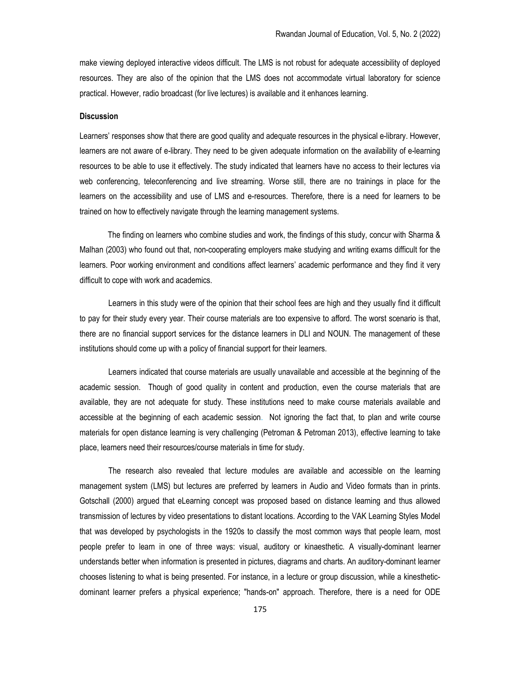make viewing deployed interactive videos difficult. The LMS is not robust for adequate accessibility of deployed resources. They are also of the opinion that the LMS does not accommodate virtual laboratory for science practical. However, radio broadcast (for live lectures) is available and it enhances learning.

### **Discussion**

Learners' responses show that there are good quality and adequate resources in the physical e-library. However, learners are not aware of e-library. They need to be given adequate information on the availability of e-learning resources to be able to use it effectively. The study indicated that learners have no access to their lectures via web conferencing, teleconferencing and live streaming. Worse still, there are no trainings in place for the learners on the accessibility and use of LMS and e-resources. Therefore, there is a need for learners to be trained on how to effectively navigate through the learning management systems.

 The finding on learners who combine studies and work, the findings of this study, concur with Sharma & Malhan (2003) who found out that, non-cooperating employers make studying and writing exams difficult for the learners. Poor working environment and conditions affect learners' academic performance and they find it very difficult to cope with work and academics.

Learners in this study were of the opinion that their school fees are high and they usually find it difficult to pay for their study every year. Their course materials are too expensive to afford. The worst scenario is that, there are no financial support services for the distance learners in DLI and NOUN. The management of these institutions should come up with a policy of financial support for their learners.

Learners indicated that course materials are usually unavailable and accessible at the beginning of the academic session. Though of good quality in content and production, even the course materials that are available, they are not adequate for study. These institutions need to make course materials available and accessible at the beginning of each academic session. Not ignoring the fact that, to plan and write course materials for open distance learning is very challenging (Petroman & Petroman 2013), effective learning to take place, learners need their resources/course materials in time for study.

The research also revealed that lecture modules are available and accessible on the learning management system (LMS) but lectures are preferred by learners in Audio and Video formats than in prints. Gotschall (2000) argued that eLearning concept was proposed based on distance learning and thus allowed transmission of lectures by video presentations to distant locations. According to the VAK Learning Styles Model that was developed by psychologists in the 1920s to classify the most common ways that people learn, most people prefer to learn in one of three ways: visual, auditory or kinaesthetic. A visually-dominant learner understands better when information is presented in pictures, diagrams and charts. An auditory-dominant learner chooses listening to what is being presented. For instance, in a lecture or group discussion, while a kinestheticdominant learner prefers a physical experience; "hands-on" approach. Therefore, there is a need for ODE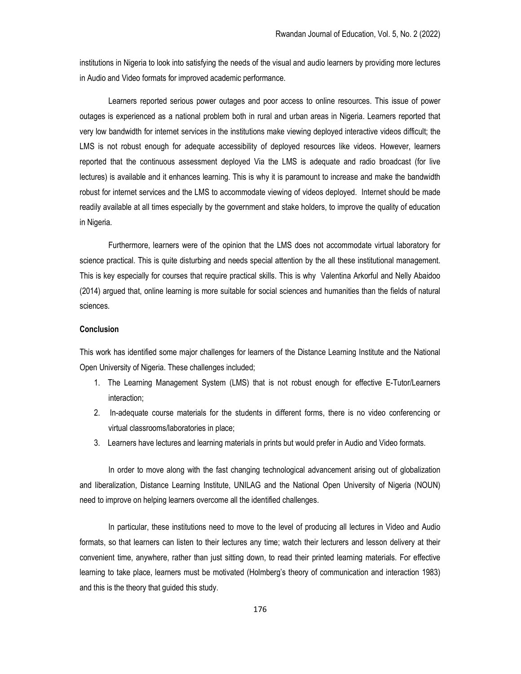institutions in Nigeria to look into satisfying the needs of the visual and audio learners by providing more lectures in Audio and Video formats for improved academic performance.

Learners reported serious power outages and poor access to online resources. This issue of power outages is experienced as a national problem both in rural and urban areas in Nigeria. Learners reported that very low bandwidth for internet services in the institutions make viewing deployed interactive videos difficult; the LMS is not robust enough for adequate accessibility of deployed resources like videos. However, learners reported that the continuous assessment deployed Via the LMS is adequate and radio broadcast (for live lectures) is available and it enhances learning. This is why it is paramount to increase and make the bandwidth robust for internet services and the LMS to accommodate viewing of videos deployed. Internet should be made readily available at all times especially by the government and stake holders, to improve the quality of education in Nigeria.

Furthermore, learners were of the opinion that the LMS does not accommodate virtual laboratory for science practical. This is quite disturbing and needs special attention by the all these institutional management. This is key especially for courses that require practical skills. This is why Valentina Arkorful and Nelly Abaidoo (2014) argued that, online learning is more suitable for social sciences and humanities than the fields of natural sciences.

### **Conclusion**

This work has identified some major challenges for learners of the Distance Learning Institute and the National Open University of Nigeria. These challenges included;

- 1. The Learning Management System (LMS) that is not robust enough for effective E-Tutor/Learners interaction;
- 2. In-adequate course materials for the students in different forms, there is no video conferencing or virtual classrooms/laboratories in place;
- 3. Learners have lectures and learning materials in prints but would prefer in Audio and Video formats.

In order to move along with the fast changing technological advancement arising out of globalization and liberalization, Distance Learning Institute, UNILAG and the National Open University of Nigeria (NOUN) need to improve on helping learners overcome all the identified challenges.

In particular, these institutions need to move to the level of producing all lectures in Video and Audio formats, so that learners can listen to their lectures any time; watch their lecturers and lesson delivery at their convenient time, anywhere, rather than just sitting down, to read their printed learning materials. For effective learning to take place, learners must be motivated (Holmberg's theory of communication and interaction 1983) and this is the theory that guided this study.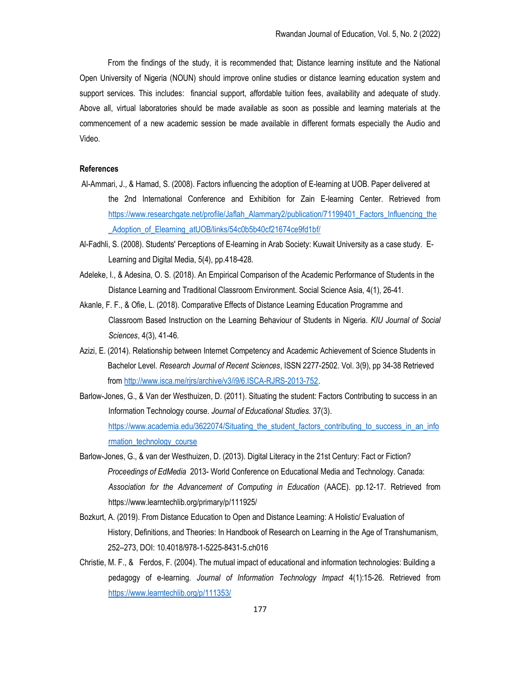From the findings of the study, it is recommended that; Distance learning institute and the National Open University of Nigeria (NOUN) should improve online studies or distance learning education system and support services. This includes: financial support, affordable tuition fees, availability and adequate of study. Above all, virtual laboratories should be made available as soon as possible and learning materials at the commencement of a new academic session be made available in different formats especially the Audio and Video.

### References

- Al-Ammari, J., & Hamad, S. (2008). Factors influencing the adoption of E-learning at UOB. Paper delivered at the 2nd International Conference and Exhibition for Zain E-learning Center. Retrieved from https://www.researchgate.net/profile/Jaflah\_Alammary2/publication/71199401\_Factors\_Influencing\_the Adoption of Elearning atUOB/links/54c0b5b40cf21674ce9fd1bf/
- Al-Fadhli, S. (2008). Students' Perceptions of E-learning in Arab Society: Kuwait University as a case study. E-Learning and Digital Media, 5(4), pp.418-428.
- Adeleke, I., & Adesina, O. S. (2018). An Empirical Comparison of the Academic Performance of Students in the Distance Learning and Traditional Classroom Environment. Social Science Asia, 4(1), 26-41.
- Akanle, F. F., & Ofie, L. (2018). Comparative Effects of Distance Learning Education Programme and Classroom Based Instruction on the Learning Behaviour of Students in Nigeria. KIU Journal of Social Sciences, 4(3), 41-46.
- Azizi, E. (2014). Relationship between Internet Competency and Academic Achievement of Science Students in Bachelor Level. Research Journal of Recent Sciences, ISSN 2277-2502. Vol. 3(9), pp 34-38 Retrieved from http://www.isca.me/rjrs/archive/v3/i9/6.ISCA-RJRS-2013-752.
- Barlow-Jones, G., & Van der Westhuizen, D. (2011). Situating the student: Factors Contributing to success in an Information Technology course. Journal of Educational Studies. 37(3). https://www.academia.edu/3622074/Situating\_the\_student\_factors\_contributing\_to\_success\_in\_an\_info rmation\_technology\_course
- Barlow-Jones, G., & van der Westhuizen, D. (2013). Digital Literacy in the 21st Century: Fact or Fiction? Proceedings of EdMedia 2013- World Conference on Educational Media and Technology. Canada: Association for the Advancement of Computing in Education (AACE). pp.12-17. Retrieved from https://www.learntechlib.org/primary/p/111925/
- Bozkurt, A. (2019). From Distance Education to Open and Distance Learning: A Holistic/ Evaluation of History, Definitions, and Theories: In Handbook of Research on Learning in the Age of Transhumanism, 252–273, DOI: 10.4018/978-1-5225-8431-5.ch016
- Christie, M. F., & Ferdos, F. (2004). The mutual impact of educational and information technologies: Building a pedagogy of e-learning. Journal of Information Technology Impact 4(1):15-26. Retrieved from https://www.learntechlib.org/p/111353/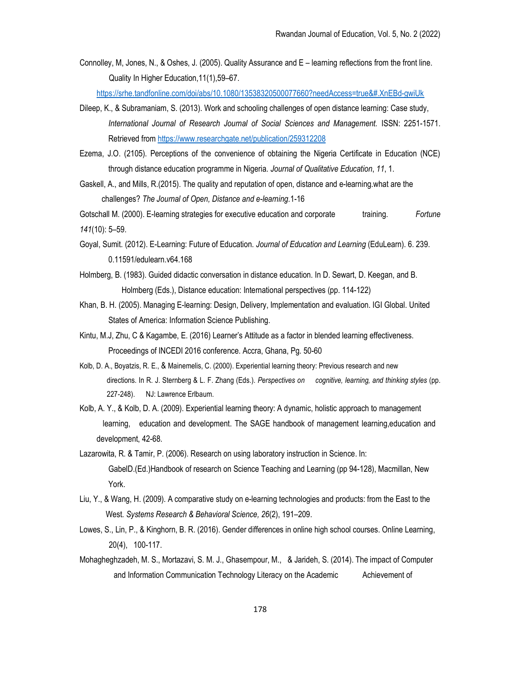Connolley, M, Jones, N., & Oshes, J. (2005). Quality Assurance and E – learning reflections from the front line. Quality In Higher Education,11(1),59–67.

https://srhe.tandfonline.com/doi/abs/10.1080/13538320500077660?needAccess=true&#.XnEBd-gwiUk

- Dileep, K., & Subramaniam, S. (2013). Work and schooling challenges of open distance learning: Case study, International Journal of Research Journal of Social Sciences and Management. ISSN: 2251-1571. Retrieved from https://www.researchgate.net/publication/259312208
- Ezema, J.O. (2105). Perceptions of the convenience of obtaining the Nigeria Certificate in Education (NCE) through distance education programme in Nigeria. Journal of Qualitative Education, 11, 1.
- Gaskell, A., and Mills, R.(2015). The quality and reputation of open, distance and e-learning.what are the challenges? The Journal of Open, Distance and e-learning.1-16

Gotschall M. (2000). E-learning strategies for executive education and corporate training. Fortune 141(10): 5–59.

- Goyal, Sumit. (2012). E-Learning: Future of Education. Journal of Education and Learning (EduLearn). 6. 239. 0.11591/edulearn.v64.168
- Holmberg, B. (1983). Guided didactic conversation in distance education. In D. Sewart, D. Keegan, and B. Holmberg (Eds.), Distance education: International perspectives (pp. 114-122)
- Khan, B. H. (2005). Managing E-learning: Design, Delivery, Implementation and evaluation. IGI Global. United States of America: Information Science Publishing.
- Kintu, M.J, Zhu, C & Kagambe, E. (2016) Learner's Attitude as a factor in blended learning effectiveness. Proceedings of INCEDI 2016 conference. Accra, Ghana, Pg. 50-60
- Kolb, D. A., Boyatzis, R. E., & Mainemelis, C. (2000). Experiential learning theory: Previous research and new directions. In R. J. Sternberg & L. F. Zhang (Eds.). Perspectives on cognitive, learning, and thinking styles (pp. 227-248). NJ: Lawrence Erlbaum.
- Kolb, A. Y., & Kolb, D. A. (2009). Experiential learning theory: A dynamic, holistic approach to management learning, education and development. The SAGE handbook of management learning,education and development, 42-68.
- Lazarowita, R. & Tamir, P. (2006). Research on using laboratory instruction in Science. In: GabelD.(Ed.)Handbook of research on Science Teaching and Learning (pp 94-128), Macmillan, New York.
- Liu, Y., & Wang, H. (2009). A comparative study on e-learning technologies and products: from the East to the West. Systems Research & Behavioral Science, 26(2), 191–209.
- Lowes, S., Lin, P., & Kinghorn, B. R. (2016). Gender differences in online high school courses. Online Learning, 20(4), 100-117.
- Mohagheghzadeh, M. S., Mortazavi, S. M. J., Ghasempour, M., & Jarideh, S. (2014). The impact of Computer and Information Communication Technology Literacy on the Academic Achievement of